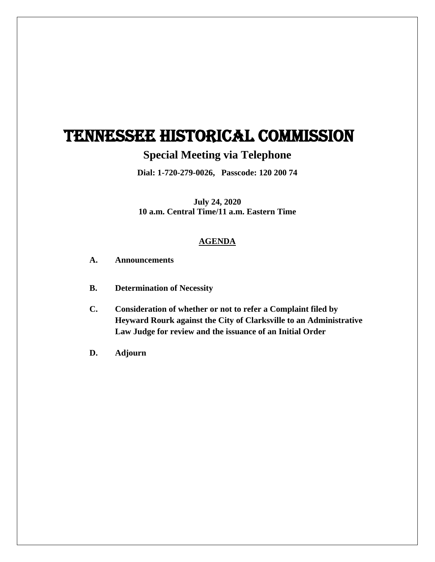## TENNESSEE HISTORICAL COMMISSION

## **Special Meeting via Telephone**

**Dial: 1-720-279-0026, Passcode: 120 200 74**

**July 24, 2020 10 a.m. Central Time/11 a.m. Eastern Time**

## **AGENDA**

- **A. Announcements**
- **B. Determination of Necessity**
- **C. Consideration of whether or not to refer a Complaint filed by Heyward Rourk against the City of Clarksville to an Administrative Law Judge for review and the issuance of an Initial Order**
- **D. Adjourn**